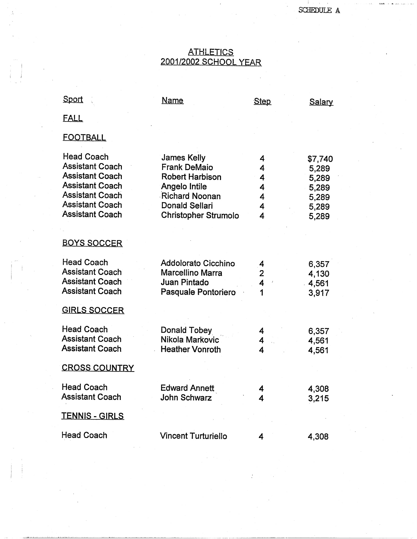## <u>ATHLETICS</u> 2001/2002 SCHOOL YEAR

| Sport                                                                                                                                                                         | Name                                                                                                                                                                  | <b>Step</b>                     | Salary                                                        |
|-------------------------------------------------------------------------------------------------------------------------------------------------------------------------------|-----------------------------------------------------------------------------------------------------------------------------------------------------------------------|---------------------------------|---------------------------------------------------------------|
| <b>FALL</b>                                                                                                                                                                   |                                                                                                                                                                       |                                 |                                                               |
| <b>FOOTBALL</b>                                                                                                                                                               |                                                                                                                                                                       |                                 |                                                               |
| <b>Head Coach</b><br><b>Assistant Coach</b><br><b>Assistant Coach</b><br><b>Assistant Coach</b><br><b>Assistant Coach</b><br><b>Assistant Coach</b><br><b>Assistant Coach</b> | <b>James Kelly</b><br><b>Frank DeMaio</b><br><b>Robert Harbison</b><br>Angelo Intile<br><b>Richard Noonan</b><br><b>Donald Sellari</b><br><b>Christopher Strumolo</b> | 4<br>4<br>4<br>4<br>4<br>4<br>4 | \$7,740<br>5,289<br>5,289<br>5,289<br>5,289<br>5,289<br>5,289 |
| <b>BOYS SOCCER</b>                                                                                                                                                            |                                                                                                                                                                       |                                 |                                                               |
| <b>Head Coach</b><br><b>Assistant Coach</b><br><b>Assistant Coach</b><br><b>Assistant Coach</b><br><b>GIRLS SOCCER</b>                                                        | Addolorato Cicchino<br>Marcellino Marra<br>Juan Pintado<br>Pasquale Pontoriero                                                                                        | 4<br>$\overline{2}$<br>4<br>1   | 6,357<br>4,130<br>4,561<br>3,917                              |
| <b>Head Coach</b><br><b>Assistant Coach</b><br><b>Assistant Coach</b>                                                                                                         | Donald Tobey<br>Nikola Markovic<br><b>Heather Vonroth</b>                                                                                                             | 4<br>4<br>4                     | 6,357<br>4,561<br>4,561                                       |
| <b>CROSS COUNTRY</b>                                                                                                                                                          |                                                                                                                                                                       |                                 |                                                               |
| <b>Head Coach</b><br><b>Assistant Coach</b>                                                                                                                                   | <b>Edward Annett</b><br>John Schwarz                                                                                                                                  | 4<br>4                          | 4,308<br>3,215                                                |
| <b>TENNIS - GIRLS</b>                                                                                                                                                         |                                                                                                                                                                       |                                 |                                                               |
| <b>Head Coach</b>                                                                                                                                                             | <b>Vincent Turturiello</b>                                                                                                                                            | 4                               | 4,308                                                         |